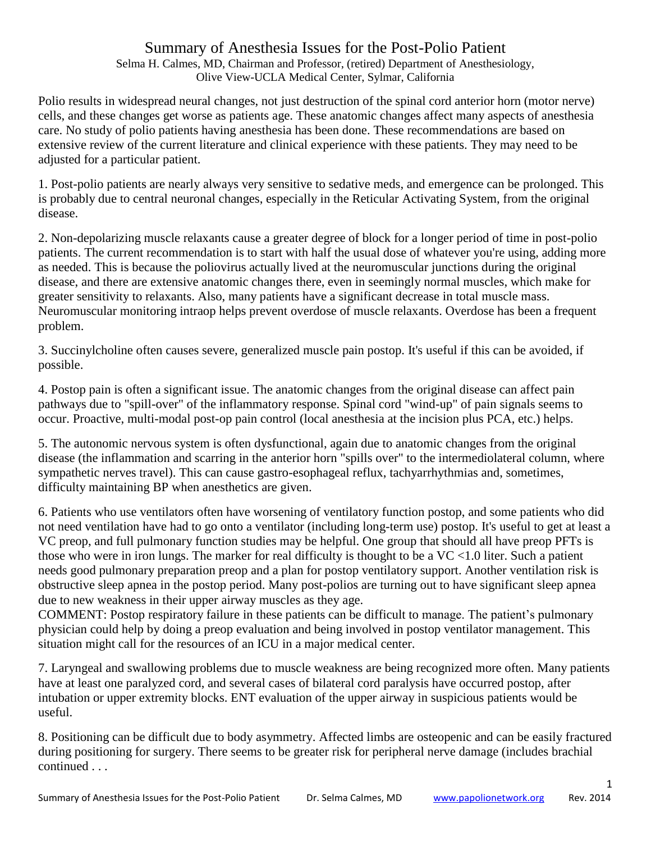## Summary of Anesthesia Issues for the Post-Polio Patient

Selma H. Calmes, MD, Chairman and Professor, (retired) Department of Anesthesiology, Olive View-UCLA Medical Center, Sylmar, California

Polio results in widespread neural changes, not just destruction of the spinal cord anterior horn (motor nerve) cells, and these changes get worse as patients age. These anatomic changes affect many aspects of anesthesia care. No study of polio patients having anesthesia has been done. These recommendations are based on extensive review of the current literature and clinical experience with these patients. They may need to be adjusted for a particular patient.

1. Post-polio patients are nearly always very sensitive to sedative meds, and emergence can be prolonged. This is probably due to central neuronal changes, especially in the Reticular Activating System, from the original disease.

2. Non-depolarizing muscle relaxants cause a greater degree of block for a longer period of time in post-polio patients. The current recommendation is to start with half the usual dose of whatever you're using, adding more as needed. This is because the poliovirus actually lived at the neuromuscular junctions during the original disease, and there are extensive anatomic changes there, even in seemingly normal muscles, which make for greater sensitivity to relaxants. Also, many patients have a significant decrease in total muscle mass. Neuromuscular monitoring intraop helps prevent overdose of muscle relaxants. Overdose has been a frequent problem.

3. Succinylcholine often causes severe, generalized muscle pain postop. It's useful if this can be avoided, if possible.

4. Postop pain is often a significant issue. The anatomic changes from the original disease can affect pain pathways due to "spill-over" of the inflammatory response. Spinal cord "wind-up" of pain signals seems to occur. Proactive, multi-modal post-op pain control (local anesthesia at the incision plus PCA, etc.) helps.

5. The autonomic nervous system is often dysfunctional, again due to anatomic changes from the original disease (the inflammation and scarring in the anterior horn "spills over" to the intermediolateral column, where sympathetic nerves travel). This can cause gastro-esophageal reflux, tachyarrhythmias and, sometimes, difficulty maintaining BP when anesthetics are given.

6. Patients who use ventilators often have worsening of ventilatory function postop, and some patients who did not need ventilation have had to go onto a ventilator (including long-term use) postop. It's useful to get at least a VC preop, and full pulmonary function studies may be helpful. One group that should all have preop PFTs is those who were in iron lungs. The marker for real difficulty is thought to be a VC <1.0 liter. Such a patient needs good pulmonary preparation preop and a plan for postop ventilatory support. Another ventilation risk is obstructive sleep apnea in the postop period. Many post-polios are turning out to have significant sleep apnea due to new weakness in their upper airway muscles as they age.

COMMENT: Postop respiratory failure in these patients can be difficult to manage. The patient's pulmonary physician could help by doing a preop evaluation and being involved in postop ventilator management. This situation might call for the resources of an ICU in a major medical center.

7. Laryngeal and swallowing problems due to muscle weakness are being recognized more often. Many patients have at least one paralyzed cord, and several cases of bilateral cord paralysis have occurred postop, after intubation or upper extremity blocks. ENT evaluation of the upper airway in suspicious patients would be useful.

8. Positioning can be difficult due to body asymmetry. Affected limbs are osteopenic and can be easily fractured during positioning for surgery. There seems to be greater risk for peripheral nerve damage (includes brachial continued . . .

1